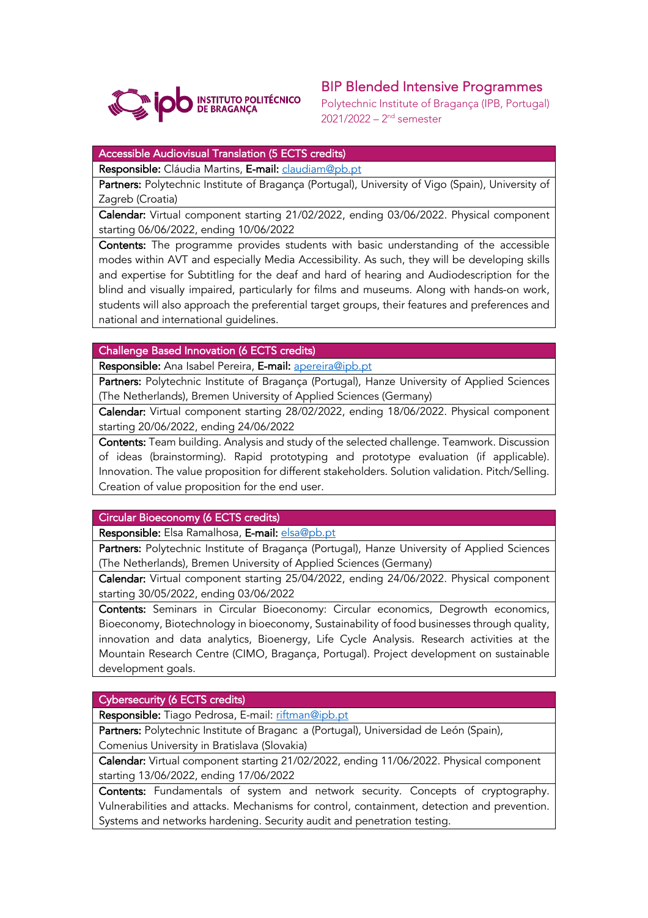

# BIP Blended Intensive Programmes

Polytechnic Institute of Bragança (IPB, Portugal) 2021/2022 – 2nd semester

## Accessible Audiovisual Translation (5 ECTS credits)

Responsible: Cláudia Martins, E-mail: claudiam@pb.pt

Partners: Polytechnic Institute of Bragança (Portugal), University of Vigo (Spain), University of Zagreb (Croatia)

Calendar: Virtual component starting 21/02/2022, ending 03/06/2022. Physical component starting 06/06/2022, ending 10/06/2022

Contents: The programme provides students with basic understanding of the accessible modes within AVT and especially Media Accessibility. As such, they will be developing skills and expertise for Subtitling for the deaf and hard of hearing and Audiodescription for the blind and visually impaired, particularly for films and museums. Along with hands-on work, students will also approach the preferential target groups, their features and preferences and national and international guidelines.

#### Challenge Based Innovation (6 ECTS credits)

Responsible: Ana Isabel Pereira, E-mail: apereira@ipb.pt

Partners: Polytechnic Institute of Bragança (Portugal), Hanze University of Applied Sciences (The Netherlands), Bremen University of Applied Sciences (Germany)

Calendar: Virtual component starting 28/02/2022, ending 18/06/2022. Physical component starting 20/06/2022, ending 24/06/2022

Contents: Team building. Analysis and study of the selected challenge. Teamwork. Discussion of ideas (brainstorming). Rapid prototyping and prototype evaluation (if applicable). Innovation. The value proposition for different stakeholders. Solution validation. Pitch/Selling. Creation of value proposition for the end user.

## Circular Bioeconomy (6 ECTS credits)

Responsible: Elsa Ramalhosa, E-mail: elsa@pb.pt

Partners: Polytechnic Institute of Bragança (Portugal), Hanze University of Applied Sciences (The Netherlands), Bremen University of Applied Sciences (Germany)

Calendar: Virtual component starting 25/04/2022, ending 24/06/2022. Physical component starting 30/05/2022, ending 03/06/2022

Contents: Seminars in Circular Bioeconomy: Circular economics, Degrowth economics, Bioeconomy, Biotechnology in bioeconomy, Sustainability of food businesses through quality, innovation and data analytics, Bioenergy, Life Cycle Analysis. Research activities at the Mountain Research Centre (CIMO, Bragança, Portugal). Project development on sustainable development goals.

## Cybersecurity (6 ECTS credits)

Responsible: Tiago Pedrosa, E-mail: riftman@ipb.pt

Partners: Polytechnic Institute of Braganc a (Portugal), Universidad de León (Spain), Comenius University in Bratislava (Slovakia)

Calendar: Virtual component starting 21/02/2022, ending 11/06/2022. Physical component starting 13/06/2022, ending 17/06/2022

Contents: Fundamentals of system and network security. Concepts of cryptography. Vulnerabilities and attacks. Mechanisms for control, containment, detection and prevention. Systems and networks hardening. Security audit and penetration testing.